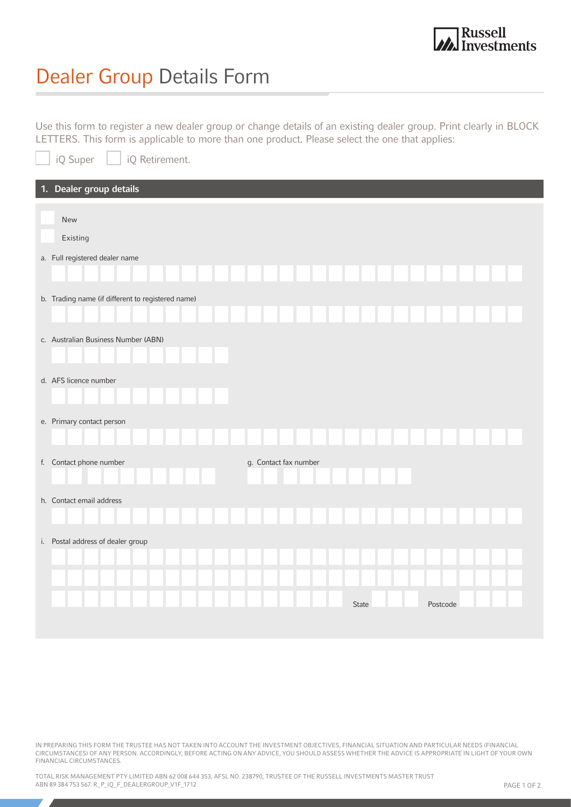

## Dealer Group Details Form

Use this form to register a new dealer group or change details of an existing dealer group. Print clearly in BLOCK LETTERS. This form is applicable to more than one product. Please select the one that applies:

| iQ Retirement.<br>iQ Super                        |                       |       |          |  |
|---------------------------------------------------|-----------------------|-------|----------|--|
| 1. Dealer group details                           |                       |       |          |  |
| New<br>Existing                                   |                       |       |          |  |
| a. Full registered dealer name                    |                       |       |          |  |
| b. Trading name (if different to registered name) |                       |       |          |  |
| c. Australian Business Number (ABN)               |                       |       |          |  |
| d. AFS licence number                             |                       |       |          |  |
| e. Primary contact person                         |                       |       |          |  |
| f. Contact phone number                           | g. Contact fax number |       |          |  |
| h. Contact email address                          |                       |       |          |  |
| i. Postal address of dealer group                 |                       |       |          |  |
|                                                   |                       |       |          |  |
|                                                   |                       | State | Postcode |  |

IN PREPARING THIS FORM THE TRUSTEE HAS NOT TAKEN INTO ACCOUNT THE INVESTMENT OBJECTIVES, FINANCIAL SITUATION AND PARTICULAR NEEDS (FINANCIAL CIRCUMSTANCES) OF ANY PERSON. ACCORDINGLY, BEFORE ACTING ON ANY ADVICE, YOU SHOULD ASSESS WHETHER THE ADVICE IS APPROPRIATE IN LIGHT OF YOUR OWN FINANCIAL CIRCUMSTANCES.